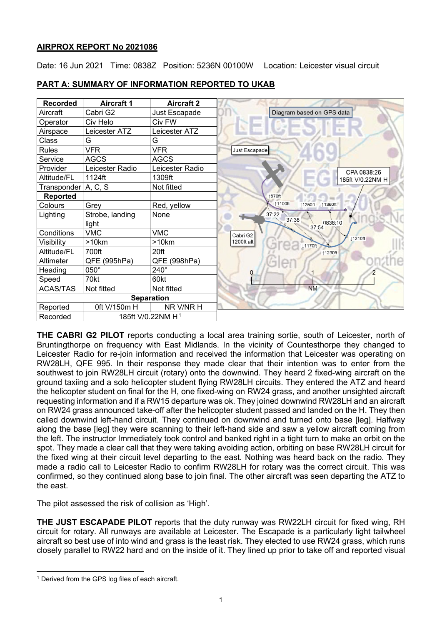## **AIRPROX REPORT No 2021086**

Date: 16 Jun 2021 Time: 0838Z Position: 5236N 00100W Location: Leicester visual circuit

| <b>Recorded</b>     | <b>Aircraft 1</b>             | <b>Aircraft 2</b> |                              |
|---------------------|-------------------------------|-------------------|------------------------------|
| Aircraft            | Cabri G2                      | Just Escapade     | Diagram based on GPS data    |
| Operator            | Civ Helo                      | Civ FW            |                              |
| Airspace            | Leicester ATZ                 | Leicester ATZ     |                              |
| Class               | G                             | G                 |                              |
| <b>Rules</b>        | <b>VFR</b>                    | <b>VFR</b>        | Just Escapade                |
| Service             | <b>AGCS</b>                   | <b>AGCS</b>       |                              |
| Provider            | Leicester Radio               | Leicester Radio   |                              |
| Altitude/FL         | 1124ft                        | 1309ft            |                              |
| Transponder A, C, S |                               | Not fitted        |                              |
| <b>Reported</b>     |                               |                   | 1870ft                       |
| Colours             | Grey                          | Red, yellow       | ↑1100ft<br>11360ft<br>1250ft |
| Lighting            | Strobe, landing               | None              | 37:22                        |
|                     | light                         |                   | 37:38<br>0838:10<br>37:54    |
| Conditions          | <b>VMC</b>                    | <b>VMC</b>        | Cabri G2                     |
| Visibility          | >10km                         | >10km             | 1200ft alt<br><b>1170ft</b>  |
| Altitude/FL         | 700ft                         | 20ft              | 11230ft                      |
| Altimeter           | QFE (995hPa)                  | QFE (998hPa)      |                              |
| Heading             | 050°                          | 240°              |                              |
| Speed               | 70kt                          | 60kt              |                              |
| <b>ACAS/TAS</b>     | Not fitted                    | Not fitted        | <b>NM</b>                    |
|                     | <b>Separation</b>             |                   |                              |
| Reported            | 0ft V/150m H                  | NR V/NR H         |                              |
| Recorded            | 185ft V/0.22NM H <sup>1</sup> |                   |                              |

# **PART A: SUMMARY OF INFORMATION REPORTED TO UKAB**

**THE CABRI G2 PILOT** reports conducting a local area training sortie, south of Leicester, north of Bruntingthorpe on frequency with East Midlands. In the vicinity of Countesthorpe they changed to Leicester Radio for re-join information and received the information that Leicester was operating on RW28LH, QFE 995. In their response they made clear that their intention was to enter from the southwest to join RW28LH circuit (rotary) onto the downwind. They heard 2 fixed-wing aircraft on the ground taxiing and a solo helicopter student flying RW28LH circuits. They entered the ATZ and heard the helicopter student on final for the H, one fixed-wing on RW24 grass, and another unsighted aircraft requesting information and if a RW15 departure was ok. They joined downwind RW28LH and an aircraft on RW24 grass announced take-off after the helicopter student passed and landed on the H. They then called downwind left-hand circuit. They continued on downwind and turned onto base [leg]. Halfway along the base [leg] they were scanning to their left-hand side and saw a yellow aircraft coming from the left. The instructor Immediately took control and banked right in a tight turn to make an orbit on the spot. They made a clear call that they were taking avoiding action, orbiting on base RW28LH circuit for the fixed wing at their circuit level departing to the east. Nothing was heard back on the radio. They made a radio call to Leicester Radio to confirm RW28LH for rotary was the correct circuit. This was confirmed, so they continued along base to join final. The other aircraft was seen departing the ATZ to the east.

The pilot assessed the risk of collision as 'High'.

**THE JUST ESCAPADE PILOT** reports that the duty runway was RW22LH circuit for fixed wing, RH circuit for rotary. All runways are available at Leicester. The Escapade is a particularly light tailwheel aircraft so best use of into wind and grass is the least risk. They elected to use RW24 grass, which runs closely parallel to RW22 hard and on the inside of it. They lined up prior to take off and reported visual

<span id="page-0-0"></span><sup>&</sup>lt;sup>1</sup> Derived from the GPS log files of each aircraft.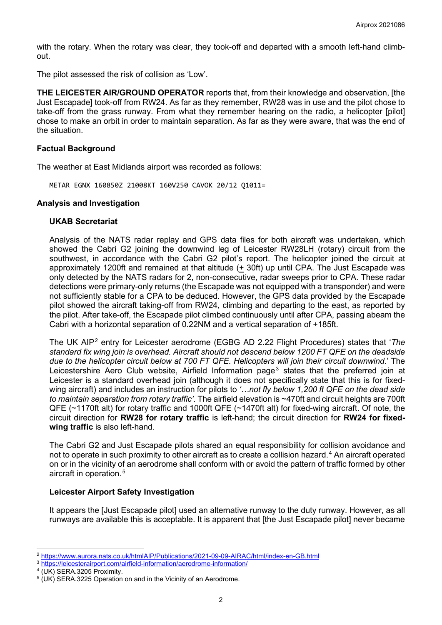with the rotary. When the rotary was clear, they took-off and departed with a smooth left-hand climbout.

The pilot assessed the risk of collision as 'Low'.

**THE LEICESTER AIR/GROUND OPERATOR** reports that, from their knowledge and observation, [the Just Escapade] took-off from RW24. As far as they remember, RW28 was in use and the pilot chose to take-off from the grass runway. From what they remember hearing on the radio, a helicopter [pilot] chose to make an orbit in order to maintain separation. As far as they were aware, that was the end of the situation.

### **Factual Background**

The weather at East Midlands airport was recorded as follows:

METAR EGNX 160850Z 21008KT 160V250 CAVOK 20/12 Q1011=

### **Analysis and Investigation**

### **UKAB Secretariat**

Analysis of the NATS radar replay and GPS data files for both aircraft was undertaken, which showed the Cabri G2 joining the downwind leg of Leicester RW28LH (rotary) circuit from the southwest, in accordance with the Cabri G2 pilot's report. The helicopter joined the circuit at approximately 1200ft and remained at that altitude (+ 30ft) up until CPA. The Just Escapade was only detected by the NATS radars for 2, non-consecutive, radar sweeps prior to CPA. These radar detections were primary-only returns (the Escapade was not equipped with a transponder) and were not sufficiently stable for a CPA to be deduced. However, the GPS data provided by the Escapade pilot showed the aircraft taking-off from RW24, climbing and departing to the east, as reported by the pilot. After take-off, the Escapade pilot climbed continuously until after CPA, passing abeam the Cabri with a horizontal separation of 0.22NM and a vertical separation of +185ft.

The UK AIP[2](#page-1-0) entry for Leicester aerodrome (EGBG AD 2.22 Flight Procedures) states that '*The standard fix wing join is overhead. Aircraft should not descend below 1200 FT QFE on the deadside due to the helicopter circuit below at 700 FT QFE. Helicopters will join their circuit downwind*.' The Leicestershire Aero Club website, Airfield Information page<sup>[3](#page-1-1)</sup> states that the preferred join at Leicester is a standard overhead join (although it does not specifically state that this is for fixedwing aircraft) and includes an instruction for pilots to *'…not fly below 1,200 ft QFE on the dead side to maintain separation from rotary traffic'*. The airfield elevation is ~470ft and circuit heights are 700ft QFE (~1170ft alt) for rotary traffic and 1000ft QFE (~1470ft alt) for fixed-wing aircraft. Of note, the circuit direction for **RW28 for rotary traffic** is left-hand; the circuit direction for **RW24 for fixedwing traffic** is also left-hand.

The Cabri G2 and Just Escapade pilots shared an equal responsibility for collision avoidance and not to operate in such proximity to other aircraft as to create a collision hazard. [4](#page-1-2) An aircraft operated on or in the vicinity of an aerodrome shall conform with or avoid the pattern of traffic formed by other aircraft in operation. [5](#page-1-3)

## **Leicester Airport Safety Investigation**

It appears the [Just Escapade pilot] used an alternative runway to the duty runway. However, as all runways are available this is acceptable. It is apparent that [the Just Escapade pilot] never became

<span id="page-1-0"></span><sup>2</sup> <https://www.aurora.nats.co.uk/htmlAIP/Publications/2021-09-09-AIRAC/html/index-en-GB.html>

<span id="page-1-1"></span><sup>3</sup> <https://leicesterairport.com/airfield-information/aerodrome-information/>

<span id="page-1-2"></span><sup>4</sup> (UK) SERA.3205 Proximity.

<span id="page-1-3"></span> $5$  (UK) SERA.3225 Operation on and in the Vicinity of an Aerodrome.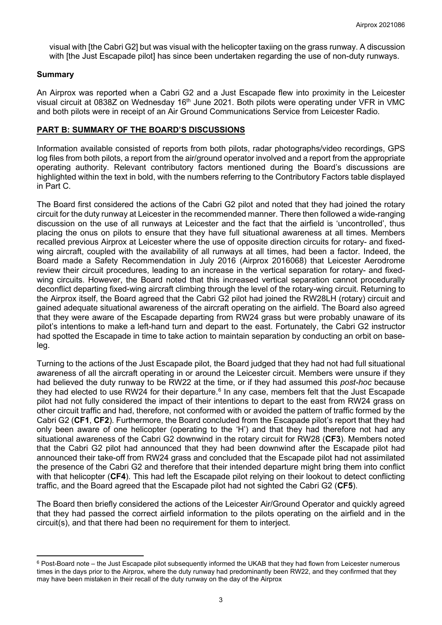visual with [the Cabri G2] but was visual with the helicopter taxiing on the grass runway. A discussion with ithe Just Escapade pilot has since been undertaken regarding the use of non-duty runways.

### **Summary**

An Airprox was reported when a Cabri G2 and a Just Escapade flew into proximity in the Leicester visual circuit at 0838Z on Wednesday 16<sup>th</sup> June 2021. Both pilots were operating under VFR in VMC and both pilots were in receipt of an Air Ground Communications Service from Leicester Radio.

### **PART B: SUMMARY OF THE BOARD'S DISCUSSIONS**

Information available consisted of reports from both pilots, radar photographs/video recordings, GPS log files from both pilots, a report from the air/ground operator involved and a report from the appropriate operating authority. Relevant contributory factors mentioned during the Board's discussions are highlighted within the text in bold, with the numbers referring to the Contributory Factors table displayed in Part C.

The Board first considered the actions of the Cabri G2 pilot and noted that they had joined the rotary circuit for the duty runway at Leicester in the recommended manner. There then followed a wide-ranging discussion on the use of all runways at Leicester and the fact that the airfield is 'uncontrolled', thus placing the onus on pilots to ensure that they have full situational awareness at all times. Members recalled previous Airprox at Leicester where the use of opposite direction circuits for rotary- and fixedwing aircraft, coupled with the availability of all runways at all times, had been a factor. Indeed, the Board made a Safety Recommendation in July 2016 (Airprox 2016068) that Leicester Aerodrome review their circuit procedures, leading to an increase in the vertical separation for rotary- and fixedwing circuits. However, the Board noted that this increased vertical separation cannot procedurally deconflict departing fixed-wing aircraft climbing through the level of the rotary-wing circuit. Returning to the Airprox itself, the Board agreed that the Cabri G2 pilot had joined the RW28LH (rotary) circuit and gained adequate situational awareness of the aircraft operating on the airfield. The Board also agreed that they were aware of the Escapade departing from RW24 grass but were probably unaware of its pilot's intentions to make a left-hand turn and depart to the east. Fortunately, the Cabri G2 instructor had spotted the Escapade in time to take action to maintain separation by conducting an orbit on baseleg.

Turning to the actions of the Just Escapade pilot, the Board judged that they had not had full situational awareness of all the aircraft operating in or around the Leicester circuit. Members were unsure if they had believed the duty runway to be RW22 at the time, or if they had assumed this *post-hoc* because they had elected to use RW24 for their departure. $^6$  $^6$  In any case, members felt that the Just Escapade pilot had not fully considered the impact of their intentions to depart to the east from RW24 grass on other circuit traffic and had, therefore, not conformed with or avoided the pattern of traffic formed by the Cabri G2 (**CF1**, **CF2**). Furthermore, the Board concluded from the Escapade pilot's report that they had only been aware of one helicopter (operating to the 'H') and that they had therefore not had any situational awareness of the Cabri G2 downwind in the rotary circuit for RW28 (**CF3**). Members noted that the Cabri G2 pilot had announced that they had been downwind after the Escapade pilot had announced their take-off from RW24 grass and concluded that the Escapade pilot had not assimilated the presence of the Cabri G2 and therefore that their intended departure might bring them into conflict with that helicopter (**CF4**). This had left the Escapade pilot relying on their lookout to detect conflicting traffic, and the Board agreed that the Escapade pilot had not sighted the Cabri G2 (**CF5**).

The Board then briefly considered the actions of the Leicester Air/Ground Operator and quickly agreed that they had passed the correct airfield information to the pilots operating on the airfield and in the circuit(s), and that there had been no requirement for them to interject.

<span id="page-2-0"></span> $6$  Post-Board note – the Just Escapade pilot subsequently informed the UKAB that they had flown from Leicester numerous times in the days prior to the Airprox, where the duty runway had predominantly been RW22, and they confirmed that they may have been mistaken in their recall of the duty runway on the day of the Airprox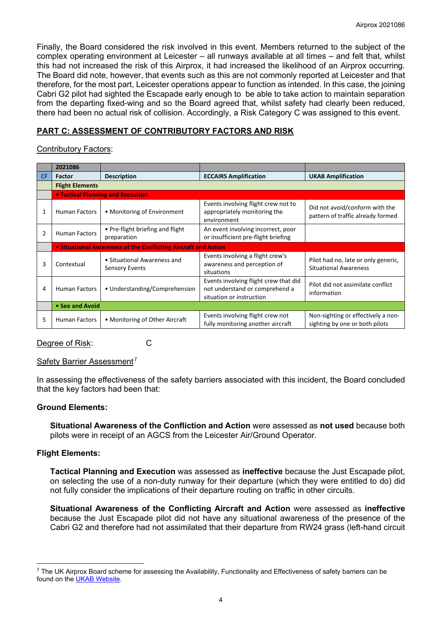Finally, the Board considered the risk involved in this event. Members returned to the subject of the complex operating environment at Leicester – all runways available at all times – and felt that, whilst this had not increased the risk of this Airprox, it had increased the likelihood of an Airprox occurring. The Board did note, however, that events such as this are not commonly reported at Leicester and that therefore, for the most part, Leicester operations appear to function as intended. In this case, the joining Cabri G2 pilot had sighted the Escapade early enough to be able to take action to maintain separation from the departing fixed-wing and so the Board agreed that, whilst safety had clearly been reduced, there had been no actual risk of collision. Accordingly, a Risk Category C was assigned to this event.

## **PART C: ASSESSMENT OF CONTRIBUTORY FACTORS AND RISK**

## Contributory Factors:

|                | 2021086                                                        |                                                      |                                                                                                     |                                                                      |  |  |
|----------------|----------------------------------------------------------------|------------------------------------------------------|-----------------------------------------------------------------------------------------------------|----------------------------------------------------------------------|--|--|
| CF.            | <b>Factor</b>                                                  | <b>Description</b>                                   | <b>ECCAIRS Amplification</b>                                                                        | <b>UKAB Amplification</b>                                            |  |  |
|                | <b>Flight Elements</b>                                         |                                                      |                                                                                                     |                                                                      |  |  |
|                | <b>• Tactical Planning and Execution</b>                       |                                                      |                                                                                                     |                                                                      |  |  |
| 1              | Human Factors                                                  | • Monitoring of Environment                          | Events involving flight crew not to<br>appropriately monitoring the<br>environment                  | Did not avoid/conform with the<br>pattern of traffic already formed  |  |  |
| $\overline{2}$ | <b>Human Factors</b>                                           | • Pre-flight briefing and flight<br>preparation      | An event involving incorrect, poor<br>or insufficient pre-flight briefing                           |                                                                      |  |  |
|                | • Situational Awareness of the Conflicting Aircraft and Action |                                                      |                                                                                                     |                                                                      |  |  |
| 3              | Contextual                                                     | • Situational Awareness and<br><b>Sensory Events</b> | Events involving a flight crew's<br>awareness and perception of<br>situations                       | Pilot had no, late or only generic,<br><b>Situational Awareness</b>  |  |  |
| 4              | <b>Human Factors</b>                                           | • Understanding/Comprehension                        | Events involving flight crew that did<br>not understand or comprehend a<br>situation or instruction | Pilot did not assimilate conflict<br>information                     |  |  |
|                | • See and Avoid                                                |                                                      |                                                                                                     |                                                                      |  |  |
| 5              | <b>Human Factors</b>                                           | • Monitoring of Other Aircraft                       | Events involving flight crew not<br>fully monitoring another aircraft                               | Non-sighting or effectively a non-<br>sighting by one or both pilots |  |  |

Degree of Risk: C

#### Safety Barrier Assessment<sup>[7](#page-3-0)</sup>

In assessing the effectiveness of the safety barriers associated with this incident, the Board concluded that the key factors had been that:

## **Ground Elements:**

**Situational Awareness of the Confliction and Action** were assessed as **not used** because both pilots were in receipt of an AGCS from the Leicester Air/Ground Operator.

## **Flight Elements:**

**Tactical Planning and Execution** was assessed as **ineffective** because the Just Escapade pilot, on selecting the use of a non-duty runway for their departure (which they were entitled to do) did not fully consider the implications of their departure routing on traffic in other circuits.

**Situational Awareness of the Conflicting Aircraft and Action** were assessed as **ineffective** because the Just Escapade pilot did not have any situational awareness of the presence of the Cabri G2 and therefore had not assimilated that their departure from RW24 grass (left-hand circuit

<span id="page-3-0"></span> $7$  The UK Airprox Board scheme for assessing the Availability, Functionality and Effectiveness of safety barriers can be found on the [UKAB Website.](http://www.airproxboard.org.uk/Learn-more/Airprox-Barrier-Assessment/)